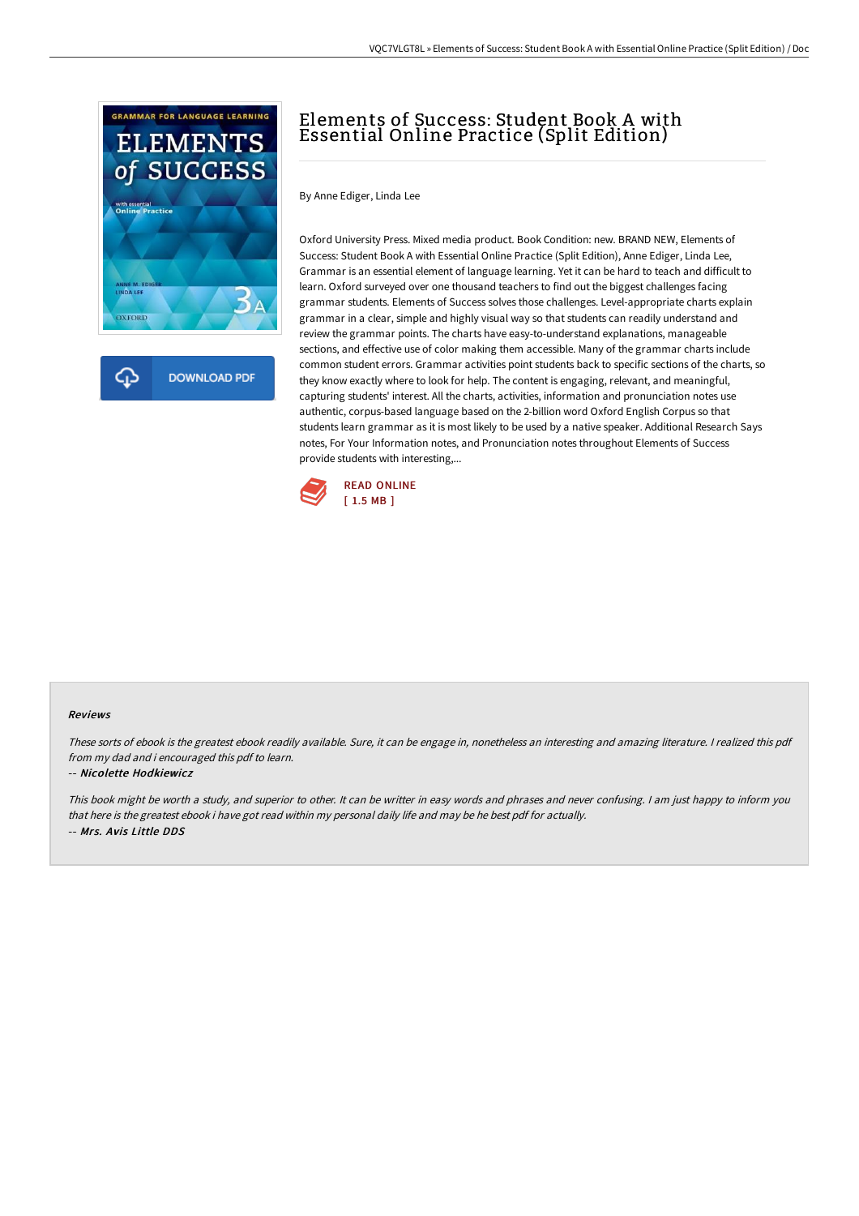

ረጉ **DOWNLOAD PDF** 

# Elements of Success: Student Book A with Essential Online Practice (Split Edition)

By Anne Ediger, Linda Lee

Oxford University Press. Mixed media product. Book Condition: new. BRAND NEW, Elements of Success: Student Book A with Essential Online Practice (Split Edition), Anne Ediger, Linda Lee, Grammar is an essential element of language learning. Yet it can be hard to teach and difficult to learn. Oxford surveyed over one thousand teachers to find out the biggest challenges facing grammar students. Elements of Success solves those challenges. Level-appropriate charts explain grammar in a clear, simple and highly visual way so that students can readily understand and review the grammar points. The charts have easy-to-understand explanations, manageable sections, and effective use of color making them accessible. Many of the grammar charts include common student errors. Grammar activities point students back to specific sections of the charts, so they know exactly where to look for help. The content is engaging, relevant, and meaningful, capturing students' interest. All the charts, activities, information and pronunciation notes use authentic, corpus-based language based on the 2-billion word Oxford English Corpus so that students learn grammar as it is most likely to be used by a native speaker. Additional Research Says notes, For Your Information notes, and Pronunciation notes throughout Elements of Success provide students with interesting,...



#### Reviews

These sorts of ebook is the greatest ebook readily available. Sure, it can be engage in, nonetheless an interesting and amazing literature. <sup>I</sup> realized this pdf from my dad and i encouraged this pdf to learn.

#### -- Nicolette Hodkiewicz

This book might be worth <sup>a</sup> study, and superior to other. It can be writter in easy words and phrases and never confusing. <sup>I</sup> am just happy to inform you that here is the greatest ebook i have got read within my personal daily life and may be he best pdf for actually. -- Mrs. Avis Little DDS